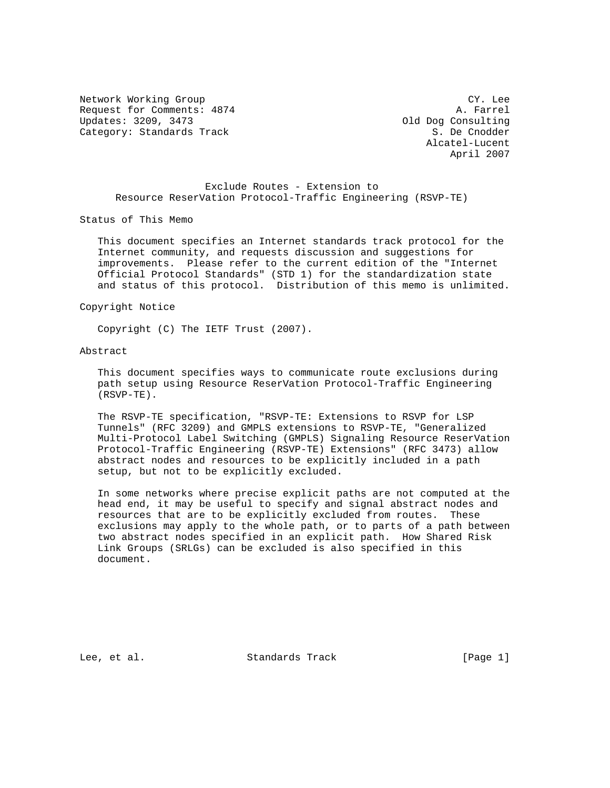Network Working Group CY. Lee Request for Comments: 4874 A. Farrel<br>
Updates: 3209, 3473 A. Dog Consulting Category: Standards Track S. De Cnodder

Old Dog Consulting Alcatel-Lucent April 2007

## Exclude Routes - Extension to Resource ReserVation Protocol-Traffic Engineering (RSVP-TE)

Status of This Memo

 This document specifies an Internet standards track protocol for the Internet community, and requests discussion and suggestions for improvements. Please refer to the current edition of the "Internet Official Protocol Standards" (STD 1) for the standardization state and status of this protocol. Distribution of this memo is unlimited.

## Copyright Notice

Copyright (C) The IETF Trust (2007).

### Abstract

 This document specifies ways to communicate route exclusions during path setup using Resource ReserVation Protocol-Traffic Engineering (RSVP-TE).

 The RSVP-TE specification, "RSVP-TE: Extensions to RSVP for LSP Tunnels" (RFC 3209) and GMPLS extensions to RSVP-TE, "Generalized Multi-Protocol Label Switching (GMPLS) Signaling Resource ReserVation Protocol-Traffic Engineering (RSVP-TE) Extensions" (RFC 3473) allow abstract nodes and resources to be explicitly included in a path setup, but not to be explicitly excluded.

 In some networks where precise explicit paths are not computed at the head end, it may be useful to specify and signal abstract nodes and resources that are to be explicitly excluded from routes. These exclusions may apply to the whole path, or to parts of a path between two abstract nodes specified in an explicit path. How Shared Risk Link Groups (SRLGs) can be excluded is also specified in this document.

Lee, et al. Standards Track [Page 1]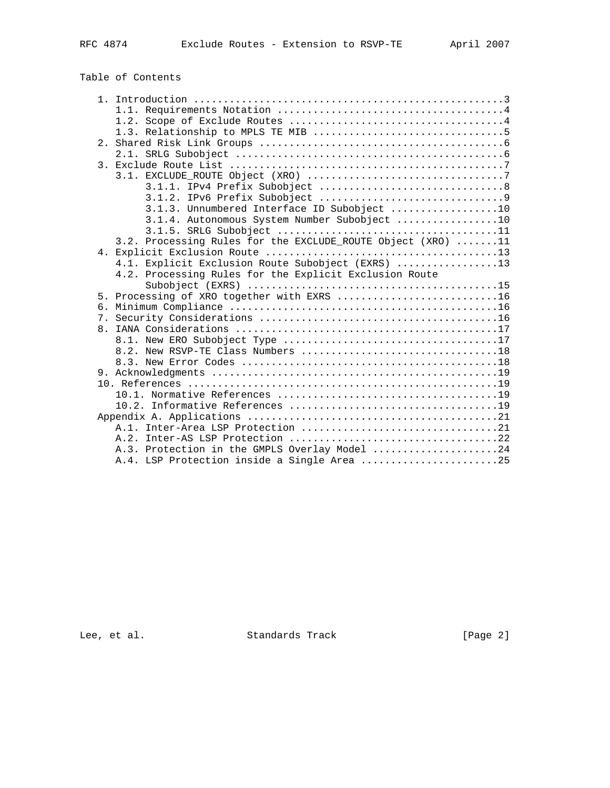# Table of Contents

|  | 3.1.3. Unnumbered Interface ID Subobject 10                 |
|--|-------------------------------------------------------------|
|  | 3.1.4. Autonomous System Number Subobject 10                |
|  |                                                             |
|  | 3.2. Processing Rules for the EXCLUDE_ROUTE Object (XRO) 11 |
|  |                                                             |
|  | 4.1. Explicit Exclusion Route Subobject (EXRS) 13           |
|  | 4.2. Processing Rules for the Explicit Exclusion Route      |
|  |                                                             |
|  | 5. Processing of XRO together with EXRS 16                  |
|  |                                                             |
|  |                                                             |
|  |                                                             |
|  |                                                             |
|  | 8.2. New RSVP-TE Class Numbers 18                           |
|  |                                                             |
|  |                                                             |
|  |                                                             |
|  |                                                             |
|  |                                                             |
|  |                                                             |
|  |                                                             |
|  |                                                             |
|  | A.3. Protection in the GMPLS Overlay Model 24               |
|  | A.4. LSP Protection inside a Single Area 25                 |

Lee, et al. Standards Track [Page 2]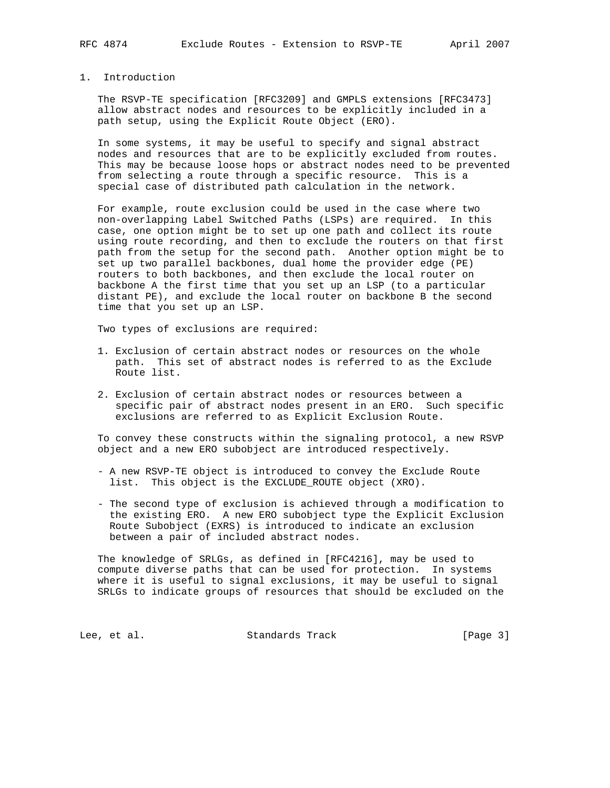## 1. Introduction

 The RSVP-TE specification [RFC3209] and GMPLS extensions [RFC3473] allow abstract nodes and resources to be explicitly included in a path setup, using the Explicit Route Object (ERO).

 In some systems, it may be useful to specify and signal abstract nodes and resources that are to be explicitly excluded from routes. This may be because loose hops or abstract nodes need to be prevented from selecting a route through a specific resource. This is a special case of distributed path calculation in the network.

 For example, route exclusion could be used in the case where two non-overlapping Label Switched Paths (LSPs) are required. In this case, one option might be to set up one path and collect its route using route recording, and then to exclude the routers on that first path from the setup for the second path. Another option might be to set up two parallel backbones, dual home the provider edge (PE) routers to both backbones, and then exclude the local router on backbone A the first time that you set up an LSP (to a particular distant PE), and exclude the local router on backbone B the second time that you set up an LSP.

Two types of exclusions are required:

- 1. Exclusion of certain abstract nodes or resources on the whole path. This set of abstract nodes is referred to as the Exclude Route list.
- 2. Exclusion of certain abstract nodes or resources between a specific pair of abstract nodes present in an ERO. Such specific exclusions are referred to as Explicit Exclusion Route.

 To convey these constructs within the signaling protocol, a new RSVP object and a new ERO subobject are introduced respectively.

- A new RSVP-TE object is introduced to convey the Exclude Route list. This object is the EXCLUDE\_ROUTE object (XRO).
- The second type of exclusion is achieved through a modification to the existing ERO. A new ERO subobject type the Explicit Exclusion Route Subobject (EXRS) is introduced to indicate an exclusion between a pair of included abstract nodes.

 The knowledge of SRLGs, as defined in [RFC4216], may be used to compute diverse paths that can be used for protection. In systems where it is useful to signal exclusions, it may be useful to signal SRLGs to indicate groups of resources that should be excluded on the

Lee, et al. Standards Track [Page 3]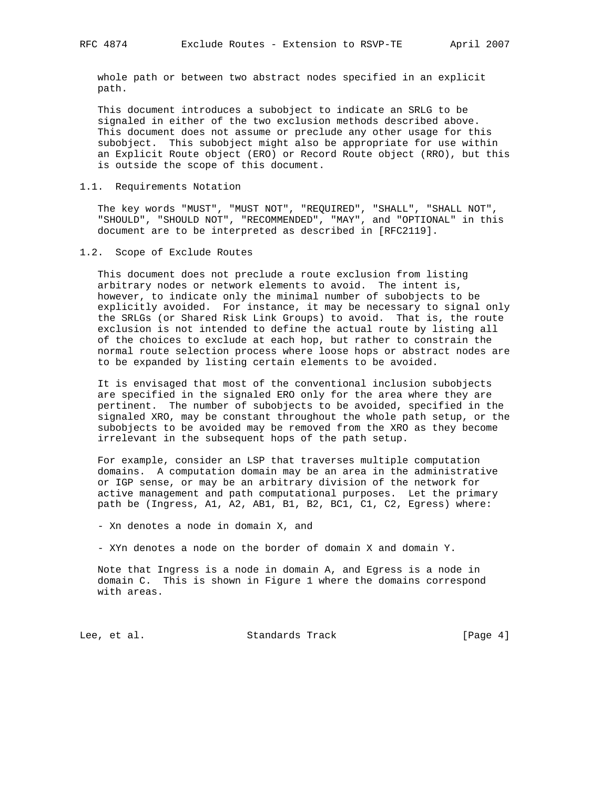whole path or between two abstract nodes specified in an explicit path.

 This document introduces a subobject to indicate an SRLG to be signaled in either of the two exclusion methods described above. This document does not assume or preclude any other usage for this subobject. This subobject might also be appropriate for use within an Explicit Route object (ERO) or Record Route object (RRO), but this is outside the scope of this document.

## 1.1. Requirements Notation

 The key words "MUST", "MUST NOT", "REQUIRED", "SHALL", "SHALL NOT", "SHOULD", "SHOULD NOT", "RECOMMENDED", "MAY", and "OPTIONAL" in this document are to be interpreted as described in [RFC2119].

### 1.2. Scope of Exclude Routes

 This document does not preclude a route exclusion from listing arbitrary nodes or network elements to avoid. The intent is, however, to indicate only the minimal number of subobjects to be explicitly avoided. For instance, it may be necessary to signal only the SRLGs (or Shared Risk Link Groups) to avoid. That is, the route exclusion is not intended to define the actual route by listing all of the choices to exclude at each hop, but rather to constrain the normal route selection process where loose hops or abstract nodes are to be expanded by listing certain elements to be avoided.

 It is envisaged that most of the conventional inclusion subobjects are specified in the signaled ERO only for the area where they are pertinent. The number of subobjects to be avoided, specified in the signaled XRO, may be constant throughout the whole path setup, or the subobjects to be avoided may be removed from the XRO as they become irrelevant in the subsequent hops of the path setup.

 For example, consider an LSP that traverses multiple computation domains. A computation domain may be an area in the administrative or IGP sense, or may be an arbitrary division of the network for active management and path computational purposes. Let the primary path be (Ingress, A1, A2, AB1, B1, B2, BC1, C1, C2, Egress) where:

- Xn denotes a node in domain X, and

- XYn denotes a node on the border of domain X and domain Y.

 Note that Ingress is a node in domain A, and Egress is a node in domain C. This is shown in Figure 1 where the domains correspond with areas.

Lee, et al. Standards Track [Page 4]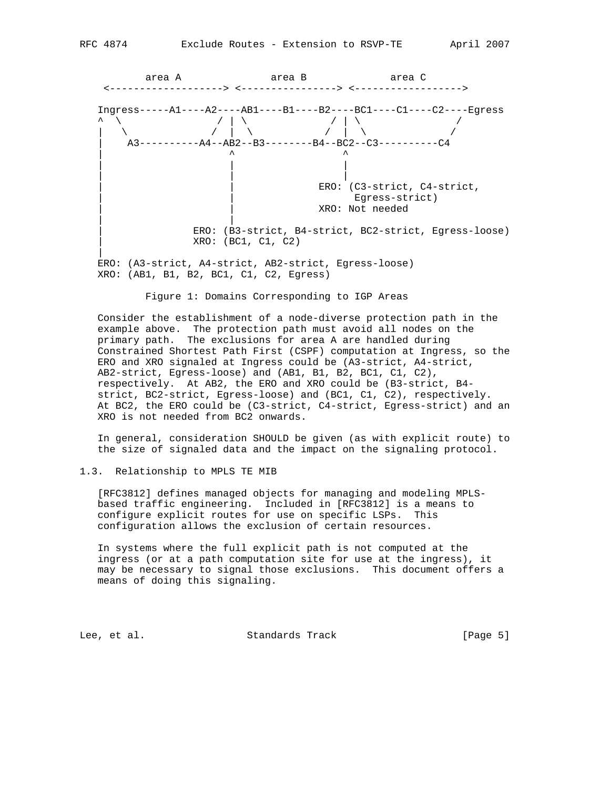

Figure 1: Domains Corresponding to IGP Areas

 Consider the establishment of a node-diverse protection path in the example above. The protection path must avoid all nodes on the primary path. The exclusions for area A are handled during Constrained Shortest Path First (CSPF) computation at Ingress, so the ERO and XRO signaled at Ingress could be (A3-strict, A4-strict, AB2-strict, Egress-loose) and (AB1, B1, B2, BC1, C1, C2), respectively. At AB2, the ERO and XRO could be (B3-strict, B4 strict, BC2-strict, Egress-loose) and (BC1, C1, C2), respectively. At BC2, the ERO could be (C3-strict, C4-strict, Egress-strict) and an XRO is not needed from BC2 onwards.

 In general, consideration SHOULD be given (as with explicit route) to the size of signaled data and the impact on the signaling protocol.

## 1.3. Relationship to MPLS TE MIB

 [RFC3812] defines managed objects for managing and modeling MPLS based traffic engineering. Included in [RFC3812] is a means to configure explicit routes for use on specific LSPs. This configuration allows the exclusion of certain resources.

 In systems where the full explicit path is not computed at the ingress (or at a path computation site for use at the ingress), it may be necessary to signal those exclusions. This document offers a means of doing this signaling.

Lee, et al. Standards Track [Page 5]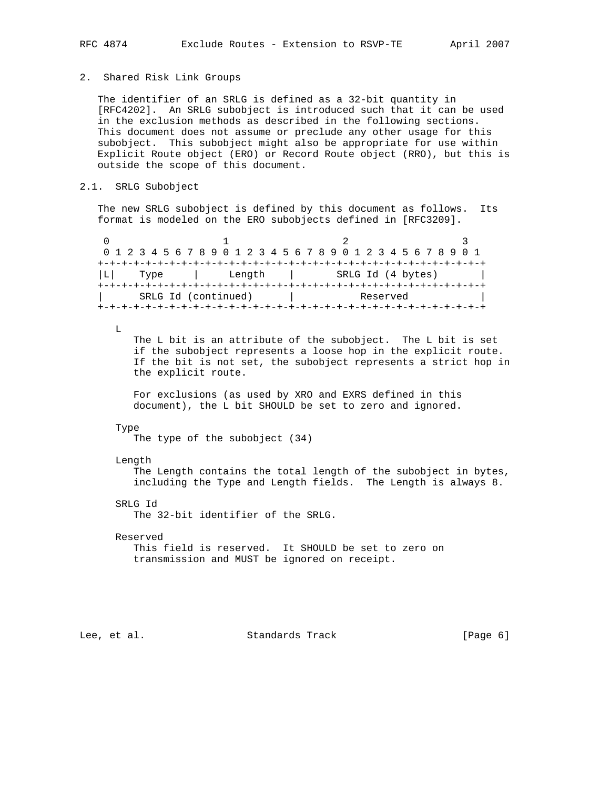## 2. Shared Risk Link Groups

 The identifier of an SRLG is defined as a 32-bit quantity in [RFC4202]. An SRLG subobject is introduced such that it can be used in the exclusion methods as described in the following sections. This document does not assume or preclude any other usage for this subobject. This subobject might also be appropriate for use within Explicit Route object (ERO) or Record Route object (RRO), but this is outside the scope of this document.

## 2.1. SRLG Subobject

 The new SRLG subobject is defined by this document as follows. Its format is modeled on the ERO subobjects defined in [RFC3209].

| 0 1 2 3 4 5 6 7 8 9 0 1 2 3 4 5 6 7 8 9 0 1 2 3 4 5 6 7 8 9 0 1 |      |  |  |  |  |  |  |  |  |        |          |  |  |  |  |  |  |  |  |  |                   |  |  |  |  |  |
|-----------------------------------------------------------------|------|--|--|--|--|--|--|--|--|--------|----------|--|--|--|--|--|--|--|--|--|-------------------|--|--|--|--|--|
|                                                                 |      |  |  |  |  |  |  |  |  |        |          |  |  |  |  |  |  |  |  |  |                   |  |  |  |  |  |
|                                                                 | Type |  |  |  |  |  |  |  |  | Length |          |  |  |  |  |  |  |  |  |  | SRLG Id (4 bytes) |  |  |  |  |  |
|                                                                 |      |  |  |  |  |  |  |  |  |        |          |  |  |  |  |  |  |  |  |  |                   |  |  |  |  |  |
| SRLG Id (continued)                                             |      |  |  |  |  |  |  |  |  |        | Reserved |  |  |  |  |  |  |  |  |  |                   |  |  |  |  |  |
|                                                                 |      |  |  |  |  |  |  |  |  |        |          |  |  |  |  |  |  |  |  |  |                   |  |  |  |  |  |

 $L$ 

 The L bit is an attribute of the subobject. The L bit is set if the subobject represents a loose hop in the explicit route. If the bit is not set, the subobject represents a strict hop in the explicit route.

 For exclusions (as used by XRO and EXRS defined in this document), the L bit SHOULD be set to zero and ignored.

#### Type

The type of the subobject (34)

Length

 The Length contains the total length of the subobject in bytes, including the Type and Length fields. The Length is always 8.

SRLG Id

The 32-bit identifier of the SRLG.

Reserved

 This field is reserved. It SHOULD be set to zero on transmission and MUST be ignored on receipt.

Lee, et al. Standards Track [Page 6]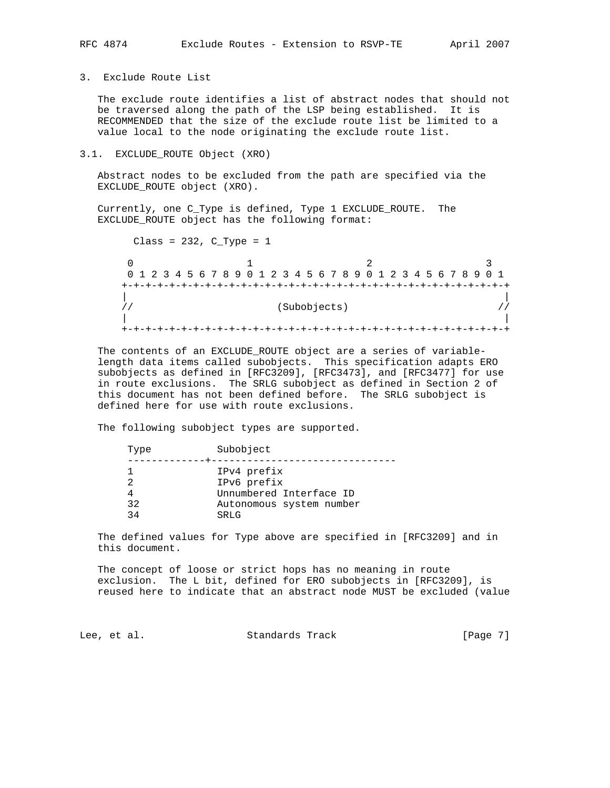3. Exclude Route List

 The exclude route identifies a list of abstract nodes that should not be traversed along the path of the LSP being established. It is RECOMMENDED that the size of the exclude route list be limited to a value local to the node originating the exclude route list.

3.1. EXCLUDE\_ROUTE Object (XRO)

 Abstract nodes to be excluded from the path are specified via the EXCLUDE\_ROUTE object (XRO).

 Currently, one C\_Type is defined, Type 1 EXCLUDE\_ROUTE. The EXCLUDE\_ROUTE object has the following format:

Class =  $232$ , C\_Type =  $1$  $\begin{array}{ccccccc}\n0 & & & 1 & & & 2 & & 3\n\end{array}$  0 1 2 3 4 5 6 7 8 9 0 1 2 3 4 5 6 7 8 9 0 1 2 3 4 5 6 7 8 9 0 1 +-+-+-+-+-+-+-+-+-+-+-+-+-+-+-+-+-+-+-+-+-+-+-+-+-+-+-+-+-+-+-+-+ | | // (Subobjects) // | | +-+-+-+-+-+-+-+-+-+-+-+-+-+-+-+-+-+-+-+-+-+-+-+-+-+-+-+-+-+-+-+-+

 The contents of an EXCLUDE\_ROUTE object are a series of variable length data items called subobjects. This specification adapts ERO subobjects as defined in [RFC3209], [RFC3473], and [RFC3477] for use in route exclusions. The SRLG subobject as defined in Section 2 of this document has not been defined before. The SRLG subobject is defined here for use with route exclusions.

The following subobject types are supported.

| Type     | Subobject                                                                                 |
|----------|-------------------------------------------------------------------------------------------|
| 32<br>34 | IPv4 prefix<br>IPv6 prefix<br>Unnumbered Interface ID<br>Autonomous system number<br>SRLG |
|          |                                                                                           |

 The defined values for Type above are specified in [RFC3209] and in this document.

 The concept of loose or strict hops has no meaning in route exclusion. The L bit, defined for ERO subobjects in [RFC3209], is reused here to indicate that an abstract node MUST be excluded (value

Lee, et al. Standards Track [Page 7]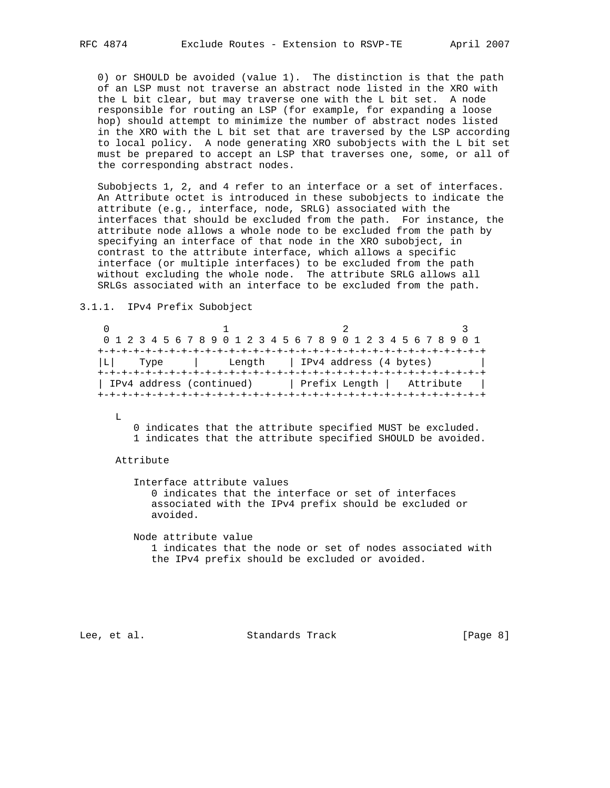0) or SHOULD be avoided (value 1). The distinction is that the path of an LSP must not traverse an abstract node listed in the XRO with the L bit clear, but may traverse one with the L bit set. A node responsible for routing an LSP (for example, for expanding a loose hop) should attempt to minimize the number of abstract nodes listed in the XRO with the L bit set that are traversed by the LSP according to local policy. A node generating XRO subobjects with the L bit set must be prepared to accept an LSP that traverses one, some, or all of the corresponding abstract nodes.

 Subobjects 1, 2, and 4 refer to an interface or a set of interfaces. An Attribute octet is introduced in these subobjects to indicate the attribute (e.g., interface, node, SRLG) associated with the interfaces that should be excluded from the path. For instance, the attribute node allows a whole node to be excluded from the path by specifying an interface of that node in the XRO subobject, in contrast to the attribute interface, which allows a specific interface (or multiple interfaces) to be excluded from the path without excluding the whole node. The attribute SRLG allows all SRLGs associated with an interface to be excluded from the path.

3.1.1. IPv4 Prefix Subobject

|      | 0 1 2 3 4 5 6 7 8 9 0 1 2 3 4 5 6 7 8 9 0 1 2 3 4 5 6 7 8 9 0 1 |  |  |                                 |  |  |  |  |  |  |  |  |
|------|-----------------------------------------------------------------|--|--|---------------------------------|--|--|--|--|--|--|--|--|
|      |                                                                 |  |  |                                 |  |  |  |  |  |  |  |  |
| Type |                                                                 |  |  | Length   IPv4 address (4 bytes) |  |  |  |  |  |  |  |  |
|      |                                                                 |  |  |                                 |  |  |  |  |  |  |  |  |
|      | IPv4 address (continued)                                        |  |  | Prefix Length   Attribute       |  |  |  |  |  |  |  |  |
|      |                                                                 |  |  |                                 |  |  |  |  |  |  |  |  |

L

 0 indicates that the attribute specified MUST be excluded. 1 indicates that the attribute specified SHOULD be avoided.

Attribute

 Interface attribute values 0 indicates that the interface or set of interfaces associated with the IPv4 prefix should be excluded or avoided.

 Node attribute value 1 indicates that the node or set of nodes associated with the IPv4 prefix should be excluded or avoided.

Lee, et al. Standards Track [Page 8]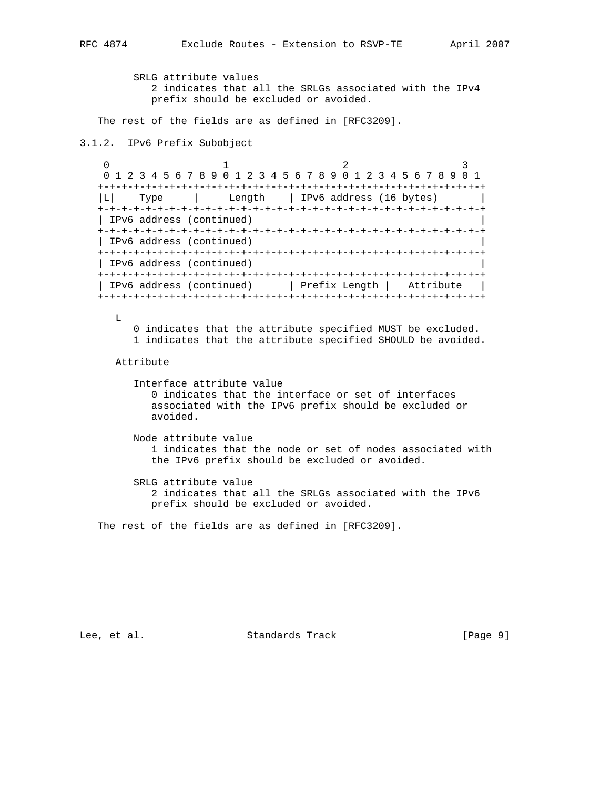SRLG attribute values 2 indicates that all the SRLGs associated with the IPv4 prefix should be excluded or avoided.

The rest of the fields are as defined in [RFC3209].

```
3.1.2. IPv6 Prefix Subobject
```
0  $1$  2 3 0 1 2 3 4 5 6 7 8 9 0 1 2 3 4 5 6 7 8 9 0 1 2 3 4 5 6 7 8 9 0 1 +-+-+-+-+-+-+-+-+-+-+-+-+-+-+-+-+-+-+-+-+-+-+-+-+-+-+-+-+-+-+-+-+ |L| Type | Length | IPv6 address (16 bytes) | +-+-+-+-+-+-+-+-+-+-+-+-+-+-+-+-+-+-+-+-+-+-+-+-+-+-+-+-+-+-+-+-+ | IPv6 address (continued) | +-+-+-+-+-+-+-+-+-+-+-+-+-+-+-+-+-+-+-+-+-+-+-+-+-+-+-+-+-+-+-+-+ | IPv6 address (continued) | +-+-+-+-+-+-+-+-+-+-+-+-+-+-+-+-+-+-+-+-+-+-+-+-+-+-+-+-+-+-+-+-+ | IPv6 address (continued) | +-+-+-+-+-+-+-+-+-+-+-+-+-+-+-+-+-+-+-+-+-+-+-+-+-+-+-+-+-+-+-+-+ | IPv6 address (continued) | Prefix Length | Attribute | +-+-+-+-+-+-+-+-+-+-+-+-+-+-+-+-+-+-+-+-+-+-+-+-+-+-+-+-+-+-+-+-+

L

 0 indicates that the attribute specified MUST be excluded. 1 indicates that the attribute specified SHOULD be avoided.

#### Attribute

 Interface attribute value 0 indicates that the interface or set of interfaces associated with the IPv6 prefix should be excluded or avoided.

 Node attribute value 1 indicates that the node or set of nodes associated with the IPv6 prefix should be excluded or avoided.

 SRLG attribute value 2 indicates that all the SRLGs associated with the IPv6 prefix should be excluded or avoided.

The rest of the fields are as defined in [RFC3209].

Lee, et al. Standards Track [Page 9]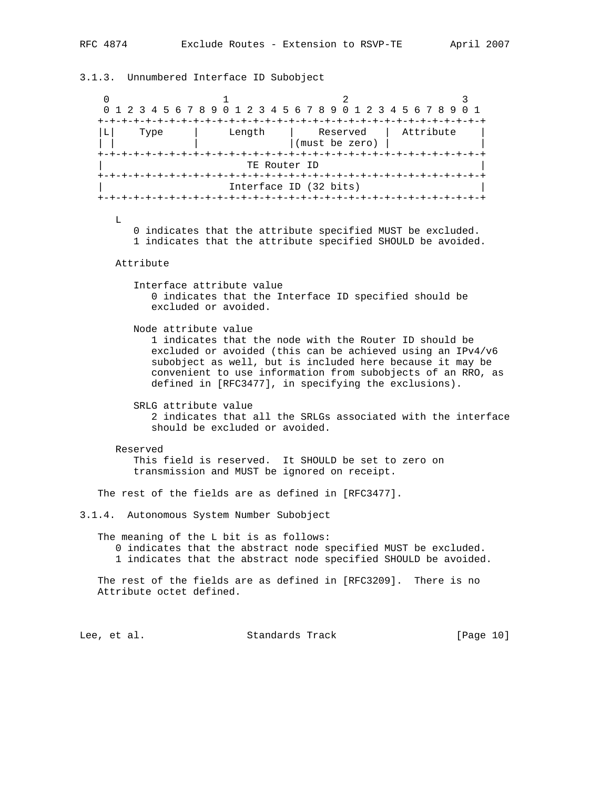3.1.3. Unnumbered Interface ID Subobject 0  $1$  2 3 0 1 2 3 4 5 6 7 8 9 0 1 2 3 4 5 6 7 8 9 0 1 2 3 4 5 6 7 8 9 0 1 +-+-+-+-+-+-+-+-+-+-+-+-+-+-+-+-+-+-+-+-+-+-+-+-+-+-+-+-+-+-+-+-+ |L| Type | Length | Reserved | Attribute | | | | |(must be zero) | | +-+-+-+-+-+-+-+-+-+-+-+-+-+-+-+-+-+-+-+-+-+-+-+-+-+-+-+-+-+-+-+-+ TE Router ID +-+-+-+-+-+-+-+-+-+-+-+-+-+-+-+-+-+-+-+-+-+-+-+-+-+-+-+-+-+-+-+-+ Interface ID (32 bits) +-+-+-+-+-+-+-+-+-+-+-+-+-+-+-+-+-+-+-+-+-+-+-+-+-+-+-+-+-+-+-+-+ L 0 indicates that the attribute specified MUST be excluded. 1 indicates that the attribute specified SHOULD be avoided. Attribute Interface attribute value 0 indicates that the Interface ID specified should be excluded or avoided. Node attribute value 1 indicates that the node with the Router ID should be excluded or avoided (this can be achieved using an IPv4/v6 subobject as well, but is included here because it may be convenient to use information from subobjects of an RRO, as defined in [RFC3477], in specifying the exclusions). SRLG attribute value 2 indicates that all the SRLGs associated with the interface should be excluded or avoided. Reserved This field is reserved. It SHOULD be set to zero on transmission and MUST be ignored on receipt. The rest of the fields are as defined in [RFC3477]. 3.1.4. Autonomous System Number Subobject The meaning of the L bit is as follows: 0 indicates that the abstract node specified MUST be excluded. 1 indicates that the abstract node specified SHOULD be avoided. The rest of the fields are as defined in [RFC3209]. There is no Attribute octet defined. Lee, et al. Standards Track [Page 10]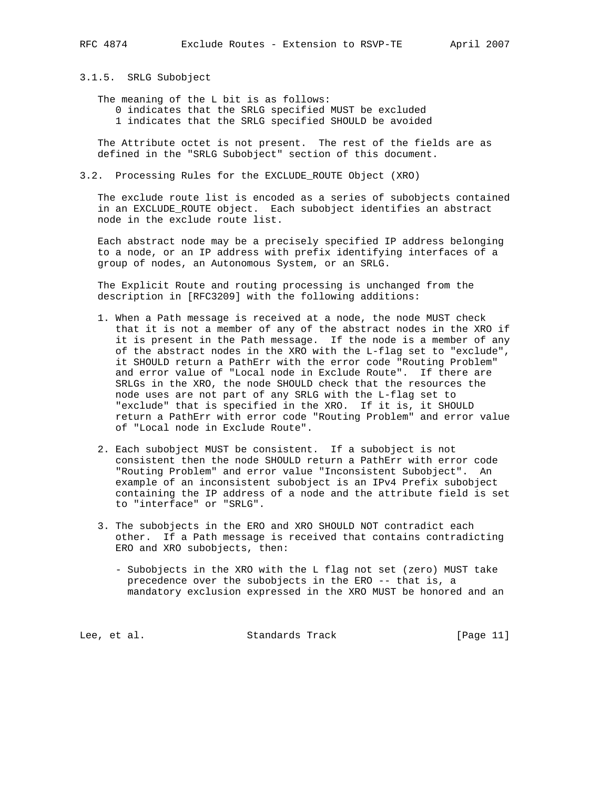3.1.5. SRLG Subobject

The meaning of the L bit is as follows:

 0 indicates that the SRLG specified MUST be excluded 1 indicates that the SRLG specified SHOULD be avoided

 The Attribute octet is not present. The rest of the fields are as defined in the "SRLG Subobject" section of this document.

## 3.2. Processing Rules for the EXCLUDE\_ROUTE Object (XRO)

 The exclude route list is encoded as a series of subobjects contained in an EXCLUDE\_ROUTE object. Each subobject identifies an abstract node in the exclude route list.

 Each abstract node may be a precisely specified IP address belonging to a node, or an IP address with prefix identifying interfaces of a group of nodes, an Autonomous System, or an SRLG.

 The Explicit Route and routing processing is unchanged from the description in [RFC3209] with the following additions:

- 1. When a Path message is received at a node, the node MUST check that it is not a member of any of the abstract nodes in the XRO if it is present in the Path message. If the node is a member of any of the abstract nodes in the XRO with the L-flag set to "exclude", it SHOULD return a PathErr with the error code "Routing Problem" and error value of "Local node in Exclude Route". If there are SRLGs in the XRO, the node SHOULD check that the resources the node uses are not part of any SRLG with the L-flag set to "exclude" that is specified in the XRO. If it is, it SHOULD return a PathErr with error code "Routing Problem" and error value of "Local node in Exclude Route".
- 2. Each subobject MUST be consistent. If a subobject is not consistent then the node SHOULD return a PathErr with error code "Routing Problem" and error value "Inconsistent Subobject". An example of an inconsistent subobject is an IPv4 Prefix subobject containing the IP address of a node and the attribute field is set to "interface" or "SRLG".
- 3. The subobjects in the ERO and XRO SHOULD NOT contradict each other. If a Path message is received that contains contradicting ERO and XRO subobjects, then:
	- Subobjects in the XRO with the L flag not set (zero) MUST take precedence over the subobjects in the ERO -- that is, a mandatory exclusion expressed in the XRO MUST be honored and an

Lee, et al. Standards Track [Page 11]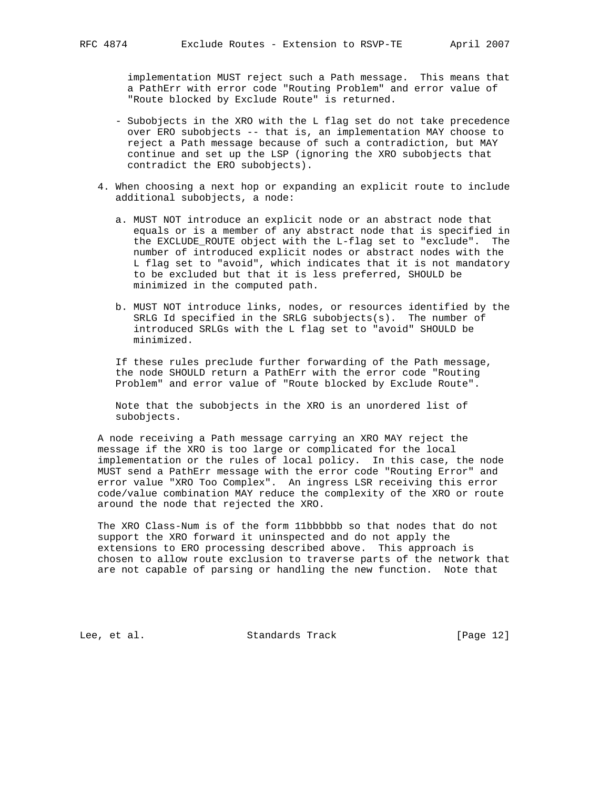implementation MUST reject such a Path message. This means that a PathErr with error code "Routing Problem" and error value of "Route blocked by Exclude Route" is returned.

- Subobjects in the XRO with the L flag set do not take precedence over ERO subobjects -- that is, an implementation MAY choose to reject a Path message because of such a contradiction, but MAY continue and set up the LSP (ignoring the XRO subobjects that contradict the ERO subobjects).
- 4. When choosing a next hop or expanding an explicit route to include additional subobjects, a node:
	- a. MUST NOT introduce an explicit node or an abstract node that equals or is a member of any abstract node that is specified in the EXCLUDE\_ROUTE object with the L-flag set to "exclude". The number of introduced explicit nodes or abstract nodes with the L flag set to "avoid", which indicates that it is not mandatory to be excluded but that it is less preferred, SHOULD be minimized in the computed path.
	- b. MUST NOT introduce links, nodes, or resources identified by the SRLG Id specified in the SRLG subobjects(s). The number of introduced SRLGs with the L flag set to "avoid" SHOULD be minimized.

 If these rules preclude further forwarding of the Path message, the node SHOULD return a PathErr with the error code "Routing Problem" and error value of "Route blocked by Exclude Route".

 Note that the subobjects in the XRO is an unordered list of subobjects.

 A node receiving a Path message carrying an XRO MAY reject the message if the XRO is too large or complicated for the local implementation or the rules of local policy. In this case, the node MUST send a PathErr message with the error code "Routing Error" and error value "XRO Too Complex". An ingress LSR receiving this error code/value combination MAY reduce the complexity of the XRO or route around the node that rejected the XRO.

 The XRO Class-Num is of the form 11bbbbbb so that nodes that do not support the XRO forward it uninspected and do not apply the extensions to ERO processing described above. This approach is chosen to allow route exclusion to traverse parts of the network that are not capable of parsing or handling the new function. Note that

Lee, et al. Standards Track [Page 12]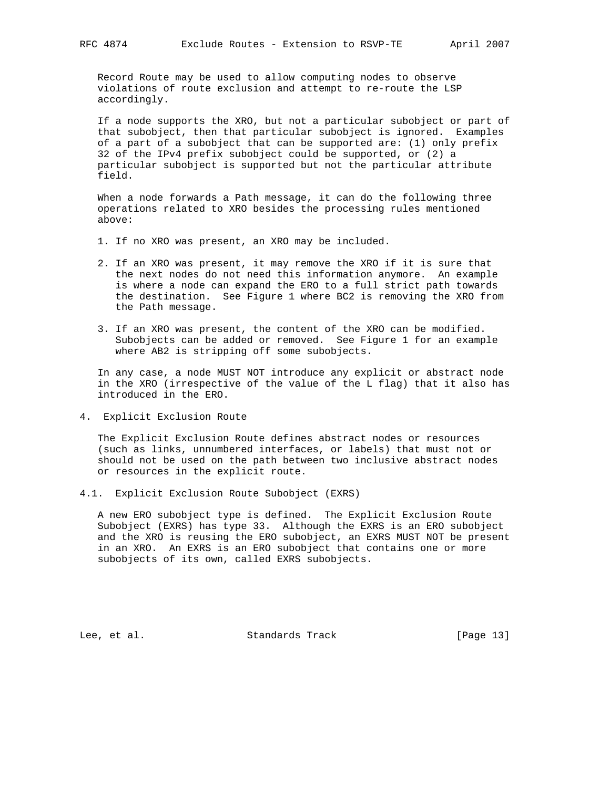Record Route may be used to allow computing nodes to observe violations of route exclusion and attempt to re-route the LSP accordingly.

 If a node supports the XRO, but not a particular subobject or part of that subobject, then that particular subobject is ignored. Examples of a part of a subobject that can be supported are: (1) only prefix 32 of the IPv4 prefix subobject could be supported, or (2) a particular subobject is supported but not the particular attribute field.

 When a node forwards a Path message, it can do the following three operations related to XRO besides the processing rules mentioned above:

- 1. If no XRO was present, an XRO may be included.
- 2. If an XRO was present, it may remove the XRO if it is sure that the next nodes do not need this information anymore. An example is where a node can expand the ERO to a full strict path towards the destination. See Figure 1 where BC2 is removing the XRO from the Path message.
- 3. If an XRO was present, the content of the XRO can be modified. Subobjects can be added or removed. See Figure 1 for an example where AB2 is stripping off some subobjects.

 In any case, a node MUST NOT introduce any explicit or abstract node in the XRO (irrespective of the value of the L flag) that it also has introduced in the ERO.

4. Explicit Exclusion Route

 The Explicit Exclusion Route defines abstract nodes or resources (such as links, unnumbered interfaces, or labels) that must not or should not be used on the path between two inclusive abstract nodes or resources in the explicit route.

4.1. Explicit Exclusion Route Subobject (EXRS)

 A new ERO subobject type is defined. The Explicit Exclusion Route Subobject (EXRS) has type 33. Although the EXRS is an ERO subobject and the XRO is reusing the ERO subobject, an EXRS MUST NOT be present in an XRO. An EXRS is an ERO subobject that contains one or more subobjects of its own, called EXRS subobjects.

Lee, et al. Standards Track [Page 13]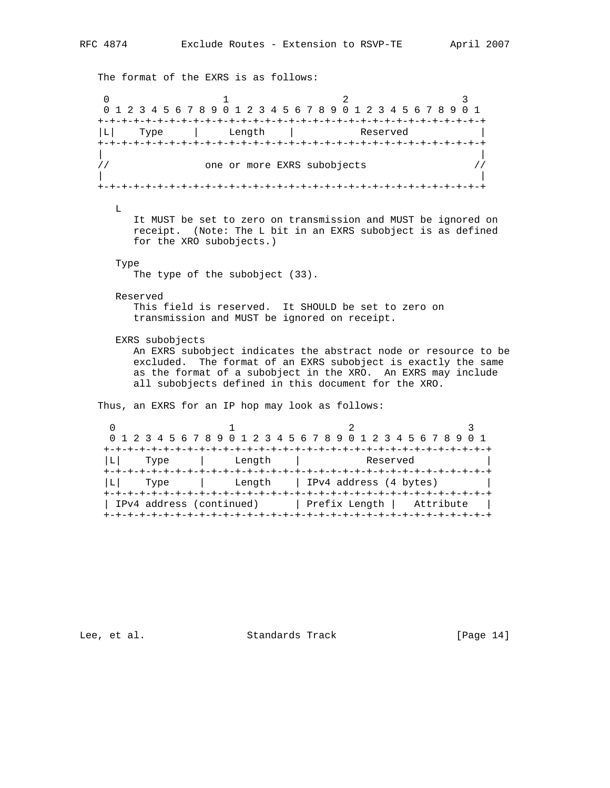The format of the EXRS is as follows: 0  $1$  2 3 0 1 2 3 4 5 6 7 8 9 0 1 2 3 4 5 6 7 8 9 0 1 2 3 4 5 6 7 8 9 0 1 +-+-+-+-+-+-+-+-+-+-+-+-+-+-+-+-+-+-+-+-+-+-+-+-+-+-+-+-+-+-+-+-+ |L| Type | Length | Reserved | +-+-+-+-+-+-+-+-+-+-+-+-+-+-+-+-+-+-+-+-+-+-+-+-+-+-+-+-+-+-+-+-+ | | // one or more EXRS subobjects // | | +-+-+-+-+-+-+-+-+-+-+-+-+-+-+-+-+-+-+-+-+-+-+-+-+-+-+-+-+-+-+-+-+  $\mathbf{L}$  It MUST be set to zero on transmission and MUST be ignored on receipt. (Note: The L bit in an EXRS subobject is as defined for the XRO subobjects.) Type The type of the subobject (33). Reserved This field is reserved. It SHOULD be set to zero on transmission and MUST be ignored on receipt. EXRS subobjects An EXRS subobject indicates the abstract node or resource to be excluded. The format of an EXRS subobject is exactly the same as the format of a subobject in the XRO. An EXRS may include all subobjects defined in this document for the XRO. Thus, an EXRS for an IP hop may look as follows: 0  $1$  2 3 0 1 2 3 4 5 6 7 8 9 0 1 2 3 4 5 6 7 8 9 0 1 2 3 4 5 6 7 8 9 0 1 +-+-+-+-+-+-+-+-+-+-+-+-+-+-+-+-+-+-+-+-+-+-+-+-+-+-+-+-+-+-+-+-+ |L| Type | Length | Reserved | +-+-+-+-+-+-+-+-+-+-+-+-+-+-+-+-+-+-+-+-+-+-+-+-+-+-+-+-+-+-+-+-+ |L| Type | Length | IPv4 address (4 bytes) | +-+-+-+-+-+-+-+-+-+-+-+-+-+-+-+-+-+-+-+-+-+-+-+-+-+-+-+-+-+-+-+-+

Lee, et al. Standards Track [Page 14]

| IPv4 address (continued) | Prefix Length | Attribute | +-+-+-+-+-+-+-+-+-+-+-+-+-+-+-+-+-+-+-+-+-+-+-+-+-+-+-+-+-+-+-+-+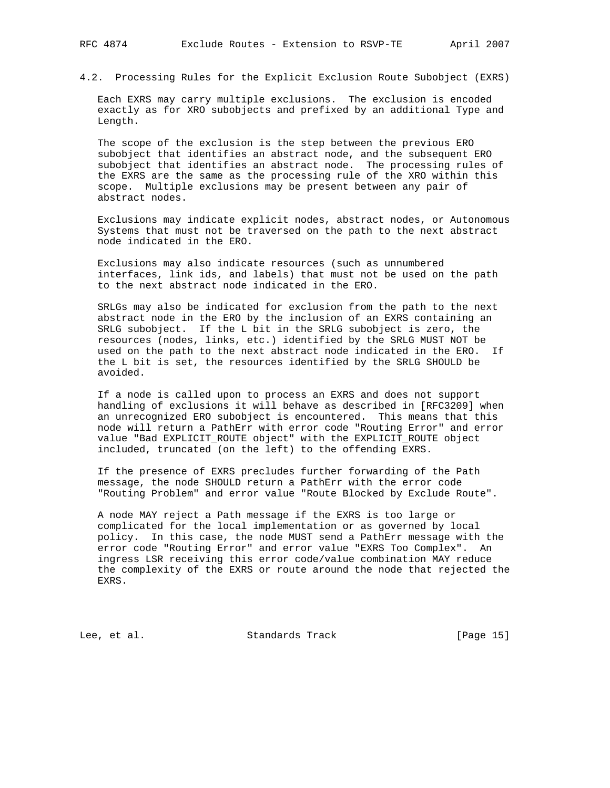4.2. Processing Rules for the Explicit Exclusion Route Subobject (EXRS)

 Each EXRS may carry multiple exclusions. The exclusion is encoded exactly as for XRO subobjects and prefixed by an additional Type and Length.

 The scope of the exclusion is the step between the previous ERO subobject that identifies an abstract node, and the subsequent ERO subobject that identifies an abstract node. The processing rules of the EXRS are the same as the processing rule of the XRO within this scope. Multiple exclusions may be present between any pair of abstract nodes.

 Exclusions may indicate explicit nodes, abstract nodes, or Autonomous Systems that must not be traversed on the path to the next abstract node indicated in the ERO.

 Exclusions may also indicate resources (such as unnumbered interfaces, link ids, and labels) that must not be used on the path to the next abstract node indicated in the ERO.

 SRLGs may also be indicated for exclusion from the path to the next abstract node in the ERO by the inclusion of an EXRS containing an SRLG subobject. If the L bit in the SRLG subobject is zero, the resources (nodes, links, etc.) identified by the SRLG MUST NOT be used on the path to the next abstract node indicated in the ERO. If the L bit is set, the resources identified by the SRLG SHOULD be avoided.

 If a node is called upon to process an EXRS and does not support handling of exclusions it will behave as described in [RFC3209] when an unrecognized ERO subobject is encountered. This means that this node will return a PathErr with error code "Routing Error" and error value "Bad EXPLICIT ROUTE object" with the EXPLICIT ROUTE object included, truncated (on the left) to the offending EXRS.

 If the presence of EXRS precludes further forwarding of the Path message, the node SHOULD return a PathErr with the error code "Routing Problem" and error value "Route Blocked by Exclude Route".

 A node MAY reject a Path message if the EXRS is too large or complicated for the local implementation or as governed by local policy. In this case, the node MUST send a PathErr message with the error code "Routing Error" and error value "EXRS Too Complex". An ingress LSR receiving this error code/value combination MAY reduce the complexity of the EXRS or route around the node that rejected the EXRS.

Lee, et al. Standards Track [Page 15]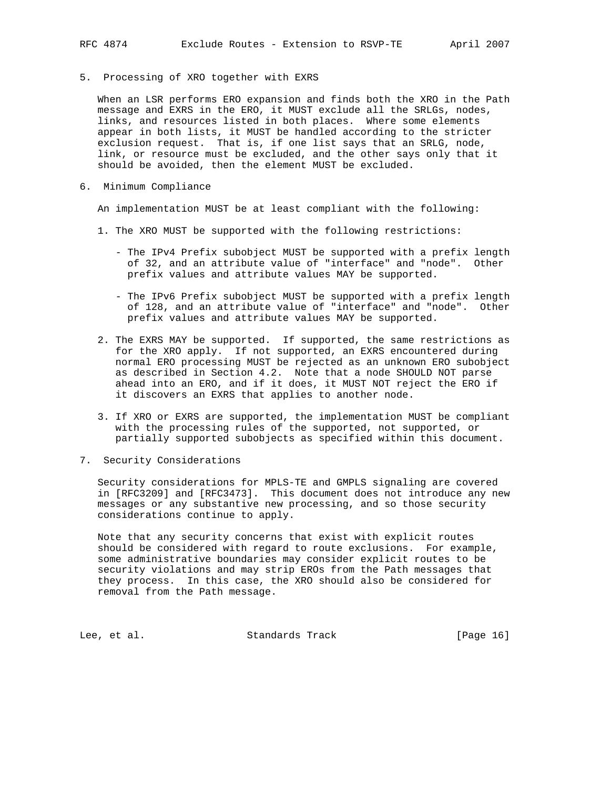5. Processing of XRO together with EXRS

 When an LSR performs ERO expansion and finds both the XRO in the Path message and EXRS in the ERO, it MUST exclude all the SRLGs, nodes, links, and resources listed in both places. Where some elements appear in both lists, it MUST be handled according to the stricter exclusion request. That is, if one list says that an SRLG, node, link, or resource must be excluded, and the other says only that it should be avoided, then the element MUST be excluded.

6. Minimum Compliance

An implementation MUST be at least compliant with the following:

- 1. The XRO MUST be supported with the following restrictions:
	- The IPv4 Prefix subobject MUST be supported with a prefix length of 32, and an attribute value of "interface" and "node". Other prefix values and attribute values MAY be supported.
	- The IPv6 Prefix subobject MUST be supported with a prefix length of 128, and an attribute value of "interface" and "node". Other prefix values and attribute values MAY be supported.
- 2. The EXRS MAY be supported. If supported, the same restrictions as for the XRO apply. If not supported, an EXRS encountered during normal ERO processing MUST be rejected as an unknown ERO subobject as described in Section 4.2. Note that a node SHOULD NOT parse ahead into an ERO, and if it does, it MUST NOT reject the ERO if it discovers an EXRS that applies to another node.
- 3. If XRO or EXRS are supported, the implementation MUST be compliant with the processing rules of the supported, not supported, or partially supported subobjects as specified within this document.
- 7. Security Considerations

 Security considerations for MPLS-TE and GMPLS signaling are covered in [RFC3209] and [RFC3473]. This document does not introduce any new messages or any substantive new processing, and so those security considerations continue to apply.

 Note that any security concerns that exist with explicit routes should be considered with regard to route exclusions. For example, some administrative boundaries may consider explicit routes to be security violations and may strip EROs from the Path messages that they process. In this case, the XRO should also be considered for removal from the Path message.

Lee, et al. Standards Track [Page 16]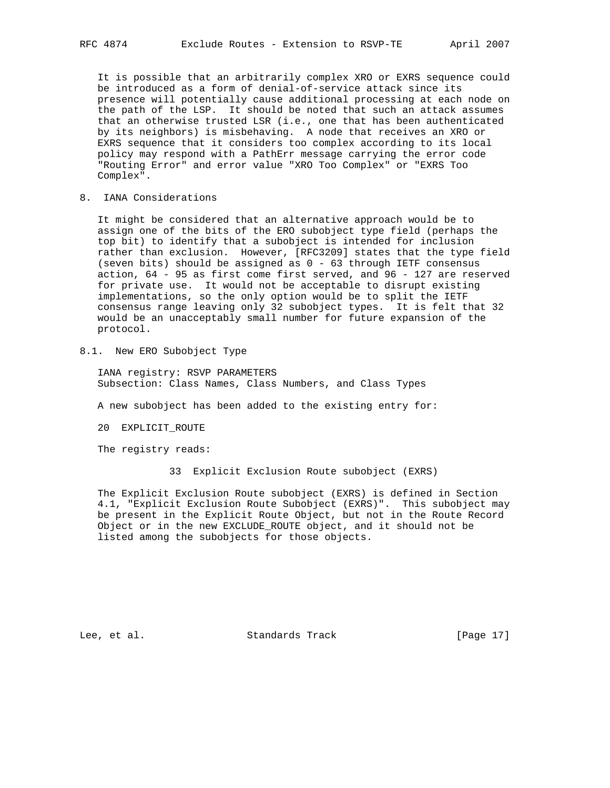It is possible that an arbitrarily complex XRO or EXRS sequence could be introduced as a form of denial-of-service attack since its presence will potentially cause additional processing at each node on the path of the LSP. It should be noted that such an attack assumes that an otherwise trusted LSR (i.e., one that has been authenticated by its neighbors) is misbehaving. A node that receives an XRO or EXRS sequence that it considers too complex according to its local policy may respond with a PathErr message carrying the error code "Routing Error" and error value "XRO Too Complex" or "EXRS Too Complex".

8. IANA Considerations

 It might be considered that an alternative approach would be to assign one of the bits of the ERO subobject type field (perhaps the top bit) to identify that a subobject is intended for inclusion rather than exclusion. However, [RFC3209] states that the type field (seven bits) should be assigned as 0 - 63 through IETF consensus action, 64 - 95 as first come first served, and 96 - 127 are reserved for private use. It would not be acceptable to disrupt existing implementations, so the only option would be to split the IETF consensus range leaving only 32 subobject types. It is felt that 32 would be an unacceptably small number for future expansion of the protocol.

8.1. New ERO Subobject Type

 IANA registry: RSVP PARAMETERS Subsection: Class Names, Class Numbers, and Class Types

A new subobject has been added to the existing entry for:

20 EXPLICIT\_ROUTE

The registry reads:

33 Explicit Exclusion Route subobject (EXRS)

 The Explicit Exclusion Route subobject (EXRS) is defined in Section 4.1, "Explicit Exclusion Route Subobject (EXRS)". This subobject may be present in the Explicit Route Object, but not in the Route Record Object or in the new EXCLUDE\_ROUTE object, and it should not be listed among the subobjects for those objects.

Lee, et al. Standards Track [Page 17]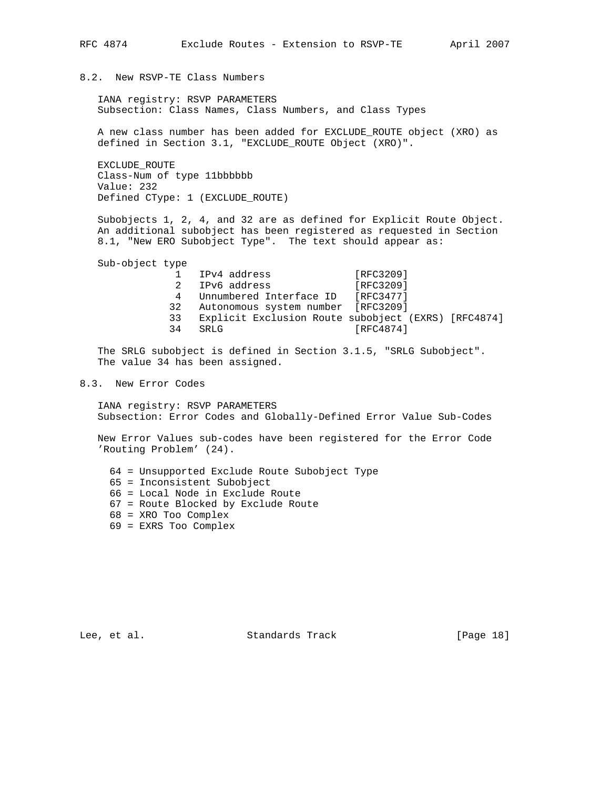## 8.2. New RSVP-TE Class Numbers

 IANA registry: RSVP PARAMETERS Subsection: Class Names, Class Numbers, and Class Types

 A new class number has been added for EXCLUDE\_ROUTE object (XRO) as defined in Section 3.1, "EXCLUDE\_ROUTE Object (XRO)".

 EXCLUDE\_ROUTE Class-Num of type 11bbbbbb Value: 232 Defined CType: 1 (EXCLUDE\_ROUTE)

 Subobjects 1, 2, 4, and 32 are as defined for Explicit Route Object. An additional subobject has been registered as requested in Section 8.1, "New ERO Subobject Type". The text should appear as:

Sub-object type

1 IPv4 address [RFC3209] 2 IPv6 address [RFC3209] 4 Unnumbered Interface ID [RFC3477] 32 Autonomous system number [RFC3209] 33 Explicit Exclusion Route subobject (EXRS) [RFC4874]  $[RFC4874]$ 

 The SRLG subobject is defined in Section 3.1.5, "SRLG Subobject". The value 34 has been assigned.

## 8.3. New Error Codes

 IANA registry: RSVP PARAMETERS Subsection: Error Codes and Globally-Defined Error Value Sub-Codes

 New Error Values sub-codes have been registered for the Error Code 'Routing Problem' (24).

- 64 = Unsupported Exclude Route Subobject Type
- 65 = Inconsistent Subobject
- 66 = Local Node in Exclude Route
- 67 = Route Blocked by Exclude Route
- 68 = XRO Too Complex
- 69 = EXRS Too Complex

Lee, et al. Standards Track [Page 18]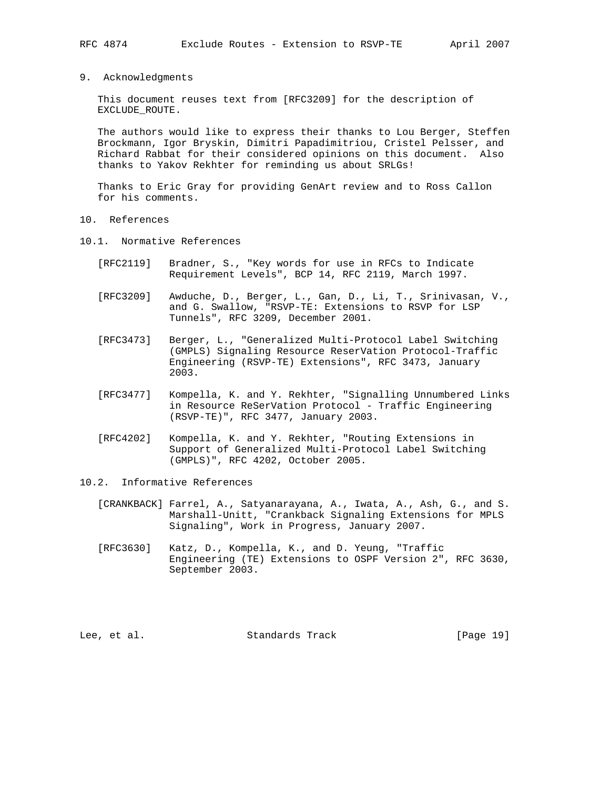9. Acknowledgments

 This document reuses text from [RFC3209] for the description of EXCLUDE\_ROUTE.

 The authors would like to express their thanks to Lou Berger, Steffen Brockmann, Igor Bryskin, Dimitri Papadimitriou, Cristel Pelsser, and Richard Rabbat for their considered opinions on this document. Also thanks to Yakov Rekhter for reminding us about SRLGs!

 Thanks to Eric Gray for providing GenArt review and to Ross Callon for his comments.

- 10. References
- 10.1. Normative References
	- [RFC2119] Bradner, S., "Key words for use in RFCs to Indicate Requirement Levels", BCP 14, RFC 2119, March 1997.
	- [RFC3209] Awduche, D., Berger, L., Gan, D., Li, T., Srinivasan, V., and G. Swallow, "RSVP-TE: Extensions to RSVP for LSP Tunnels", RFC 3209, December 2001.
	- [RFC3473] Berger, L., "Generalized Multi-Protocol Label Switching (GMPLS) Signaling Resource ReserVation Protocol-Traffic Engineering (RSVP-TE) Extensions", RFC 3473, January 2003.
	- [RFC3477] Kompella, K. and Y. Rekhter, "Signalling Unnumbered Links in Resource ReSerVation Protocol - Traffic Engineering (RSVP-TE)", RFC 3477, January 2003.
	- [RFC4202] Kompella, K. and Y. Rekhter, "Routing Extensions in Support of Generalized Multi-Protocol Label Switching (GMPLS)", RFC 4202, October 2005.
- 10.2. Informative References
	- [CRANKBACK] Farrel, A., Satyanarayana, A., Iwata, A., Ash, G., and S. Marshall-Unitt, "Crankback Signaling Extensions for MPLS Signaling", Work in Progress, January 2007.
	- [RFC3630] Katz, D., Kompella, K., and D. Yeung, "Traffic Engineering (TE) Extensions to OSPF Version 2", RFC 3630, September 2003.

Lee, et al. Standards Track [Page 19]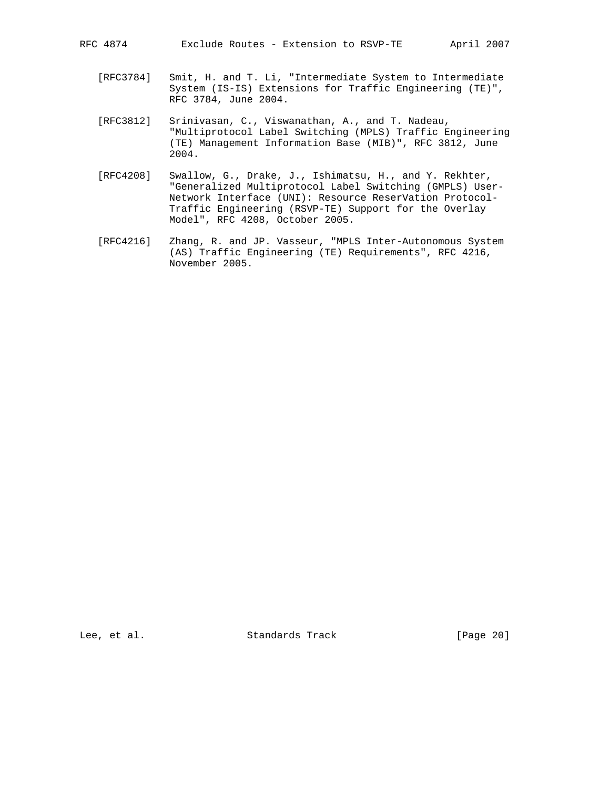- [RFC3784] Smit, H. and T. Li, "Intermediate System to Intermediate System (IS-IS) Extensions for Traffic Engineering (TE)", RFC 3784, June 2004.
- [RFC3812] Srinivasan, C., Viswanathan, A., and T. Nadeau, "Multiprotocol Label Switching (MPLS) Traffic Engineering (TE) Management Information Base (MIB)", RFC 3812, June 2004.
- [RFC4208] Swallow, G., Drake, J., Ishimatsu, H., and Y. Rekhter, "Generalized Multiprotocol Label Switching (GMPLS) User- Network Interface (UNI): Resource ReserVation Protocol- Traffic Engineering (RSVP-TE) Support for the Overlay Model", RFC 4208, October 2005.
- [RFC4216] Zhang, R. and JP. Vasseur, "MPLS Inter-Autonomous System (AS) Traffic Engineering (TE) Requirements", RFC 4216, November 2005.

Lee, et al. Standards Track [Page 20]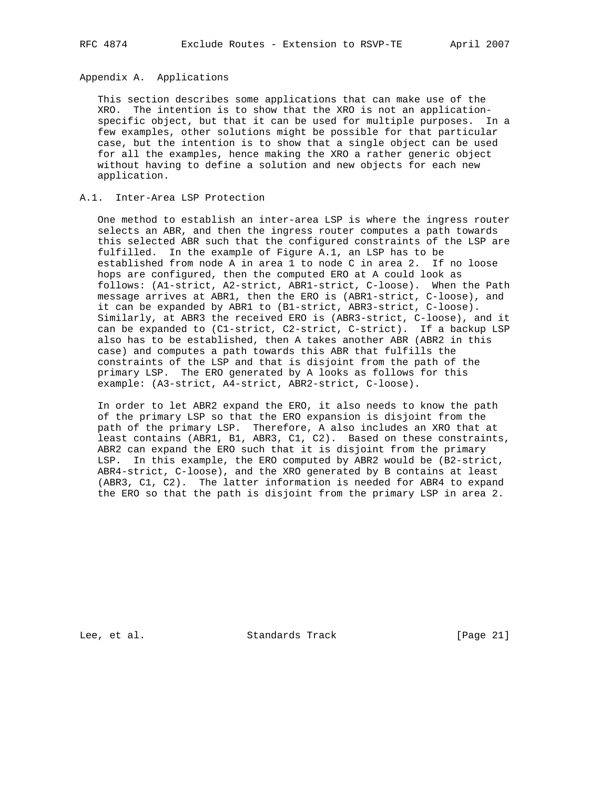## Appendix A. Applications

 This section describes some applications that can make use of the XRO. The intention is to show that the XRO is not an application specific object, but that it can be used for multiple purposes. In a few examples, other solutions might be possible for that particular case, but the intention is to show that a single object can be used for all the examples, hence making the XRO a rather generic object without having to define a solution and new objects for each new application.

## A.1. Inter-Area LSP Protection

 One method to establish an inter-area LSP is where the ingress router selects an ABR, and then the ingress router computes a path towards this selected ABR such that the configured constraints of the LSP are fulfilled. In the example of Figure A.1, an LSP has to be established from node A in area 1 to node C in area 2. If no loose hops are configured, then the computed ERO at A could look as follows: (A1-strict, A2-strict, ABR1-strict, C-loose). When the Path message arrives at ABR1, then the ERO is (ABR1-strict, C-loose), and it can be expanded by ABR1 to (B1-strict, ABR3-strict, C-loose). Similarly, at ABR3 the received ERO is (ABR3-strict, C-loose), and it can be expanded to (C1-strict, C2-strict, C-strict). If a backup LSP also has to be established, then A takes another ABR (ABR2 in this case) and computes a path towards this ABR that fulfills the constraints of the LSP and that is disjoint from the path of the primary LSP. The ERO generated by A looks as follows for this example: (A3-strict, A4-strict, ABR2-strict, C-loose).

 In order to let ABR2 expand the ERO, it also needs to know the path of the primary LSP so that the ERO expansion is disjoint from the path of the primary LSP. Therefore, A also includes an XRO that at least contains (ABR1, B1, ABR3, C1, C2). Based on these constraints, ABR2 can expand the ERO such that it is disjoint from the primary LSP. In this example, the ERO computed by ABR2 would be (B2-strict, ABR4-strict, C-loose), and the XRO generated by B contains at least (ABR3, C1, C2). The latter information is needed for ABR4 to expand the ERO so that the path is disjoint from the primary LSP in area 2.

Lee, et al. Standards Track [Page 21]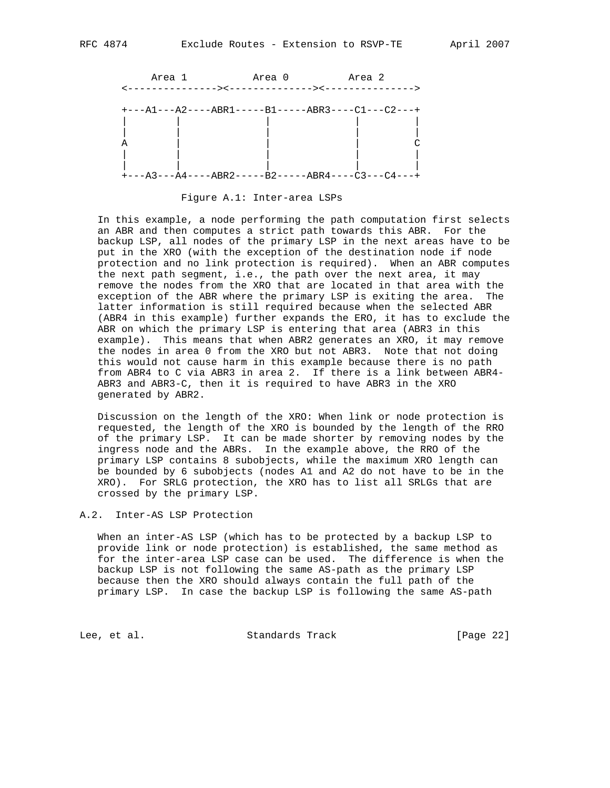

Figure A.1: Inter-area LSPs

 In this example, a node performing the path computation first selects an ABR and then computes a strict path towards this ABR. For the backup LSP, all nodes of the primary LSP in the next areas have to be put in the XRO (with the exception of the destination node if node protection and no link protection is required). When an ABR computes the next path segment, i.e., the path over the next area, it may remove the nodes from the XRO that are located in that area with the exception of the ABR where the primary LSP is exiting the area. The latter information is still required because when the selected ABR (ABR4 in this example) further expands the ERO, it has to exclude the ABR on which the primary LSP is entering that area (ABR3 in this example). This means that when ABR2 generates an XRO, it may remove the nodes in area 0 from the XRO but not ABR3. Note that not doing this would not cause harm in this example because there is no path from ABR4 to C via ABR3 in area 2. If there is a link between ABR4- ABR3 and ABR3-C, then it is required to have ABR3 in the XRO generated by ABR2.

 Discussion on the length of the XRO: When link or node protection is requested, the length of the XRO is bounded by the length of the RRO of the primary LSP. It can be made shorter by removing nodes by the ingress node and the ABRs. In the example above, the RRO of the primary LSP contains 8 subobjects, while the maximum XRO length can be bounded by 6 subobjects (nodes A1 and A2 do not have to be in the XRO). For SRLG protection, the XRO has to list all SRLGs that are crossed by the primary LSP.

A.2. Inter-AS LSP Protection

 When an inter-AS LSP (which has to be protected by a backup LSP to provide link or node protection) is established, the same method as for the inter-area LSP case can be used. The difference is when the backup LSP is not following the same AS-path as the primary LSP because then the XRO should always contain the full path of the primary LSP. In case the backup LSP is following the same AS-path

Lee, et al. Standards Track [Page 22]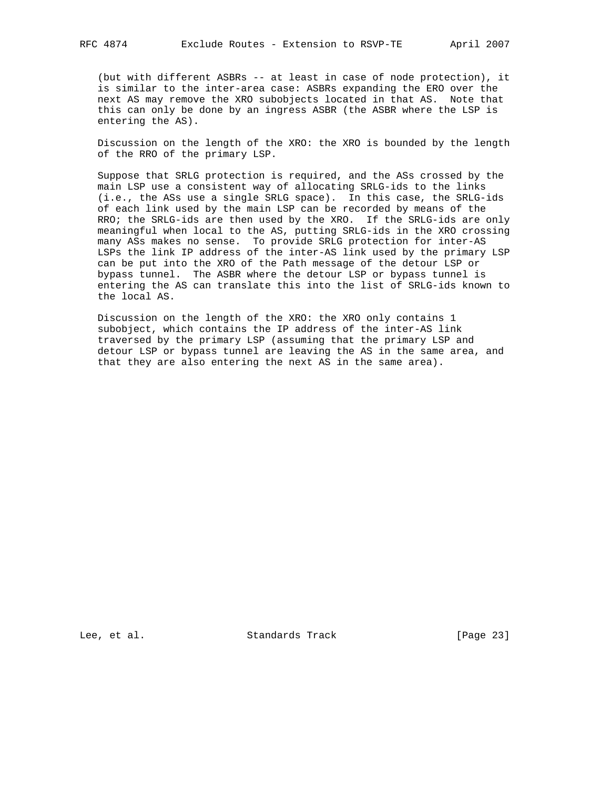(but with different ASBRs -- at least in case of node protection), it is similar to the inter-area case: ASBRs expanding the ERO over the next AS may remove the XRO subobjects located in that AS. Note that this can only be done by an ingress ASBR (the ASBR where the LSP is entering the AS).

 Discussion on the length of the XRO: the XRO is bounded by the length of the RRO of the primary LSP.

 Suppose that SRLG protection is required, and the ASs crossed by the main LSP use a consistent way of allocating SRLG-ids to the links (i.e., the ASs use a single SRLG space). In this case, the SRLG-ids of each link used by the main LSP can be recorded by means of the RRO; the SRLG-ids are then used by the XRO. If the SRLG-ids are only meaningful when local to the AS, putting SRLG-ids in the XRO crossing many ASs makes no sense. To provide SRLG protection for inter-AS LSPs the link IP address of the inter-AS link used by the primary LSP can be put into the XRO of the Path message of the detour LSP or bypass tunnel. The ASBR where the detour LSP or bypass tunnel is entering the AS can translate this into the list of SRLG-ids known to the local AS.

 Discussion on the length of the XRO: the XRO only contains 1 subobject, which contains the IP address of the inter-AS link traversed by the primary LSP (assuming that the primary LSP and detour LSP or bypass tunnel are leaving the AS in the same area, and that they are also entering the next AS in the same area).

Lee, et al. Standards Track [Page 23]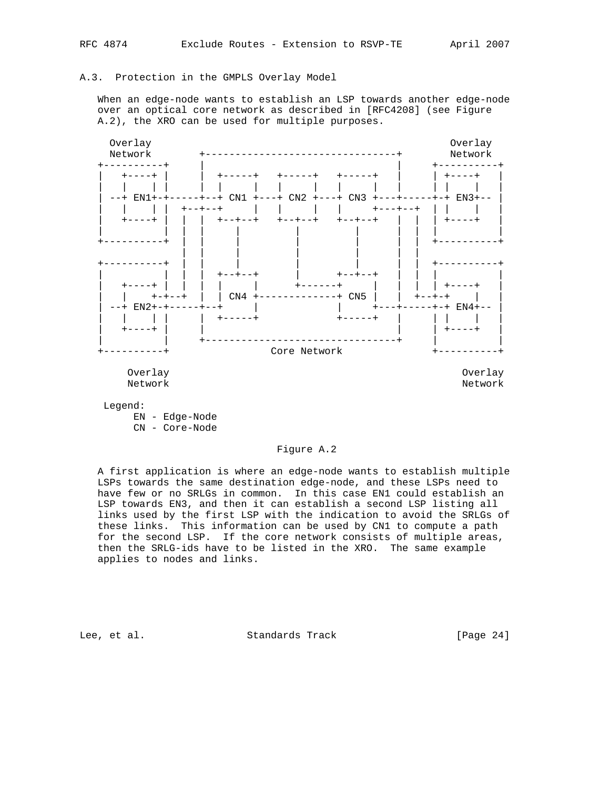## A.3. Protection in the GMPLS Overlay Model

 When an edge-node wants to establish an LSP towards another edge-node over an optical core network as described in [RFC4208] (see Figure A.2), the XRO can be used for multiple purposes.



 EN - Edge-Node CN - Core-Node

## Figure A.2

 A first application is where an edge-node wants to establish multiple LSPs towards the same destination edge-node, and these LSPs need to have few or no SRLGs in common. In this case EN1 could establish an LSP towards EN3, and then it can establish a second LSP listing all links used by the first LSP with the indication to avoid the SRLGs of these links. This information can be used by CN1 to compute a path for the second LSP. If the core network consists of multiple areas, then the SRLG-ids have to be listed in the XRO. The same example applies to nodes and links.

Lee, et al. Standards Track [Page 24]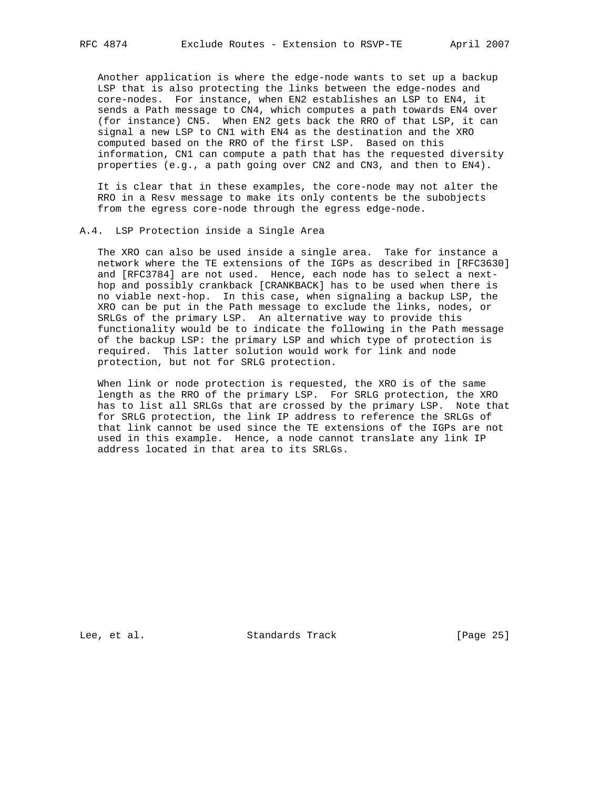Another application is where the edge-node wants to set up a backup LSP that is also protecting the links between the edge-nodes and core-nodes. For instance, when EN2 establishes an LSP to EN4, it sends a Path message to CN4, which computes a path towards EN4 over (for instance) CN5. When EN2 gets back the RRO of that LSP, it can signal a new LSP to CN1 with EN4 as the destination and the XRO computed based on the RRO of the first LSP. Based on this information, CN1 can compute a path that has the requested diversity properties (e.g., a path going over CN2 and CN3, and then to EN4).

 It is clear that in these examples, the core-node may not alter the RRO in a Resv message to make its only contents be the subobjects from the egress core-node through the egress edge-node.

## A.4. LSP Protection inside a Single Area

 The XRO can also be used inside a single area. Take for instance a network where the TE extensions of the IGPs as described in [RFC3630] and [RFC3784] are not used. Hence, each node has to select a next hop and possibly crankback [CRANKBACK] has to be used when there is no viable next-hop. In this case, when signaling a backup LSP, the XRO can be put in the Path message to exclude the links, nodes, or SRLGs of the primary LSP. An alternative way to provide this functionality would be to indicate the following in the Path message of the backup LSP: the primary LSP and which type of protection is required. This latter solution would work for link and node protection, but not for SRLG protection.

 When link or node protection is requested, the XRO is of the same length as the RRO of the primary LSP. For SRLG protection, the XRO has to list all SRLGs that are crossed by the primary LSP. Note that for SRLG protection, the link IP address to reference the SRLGs of that link cannot be used since the TE extensions of the IGPs are not used in this example. Hence, a node cannot translate any link IP address located in that area to its SRLGs.

Lee, et al. Standards Track [Page 25]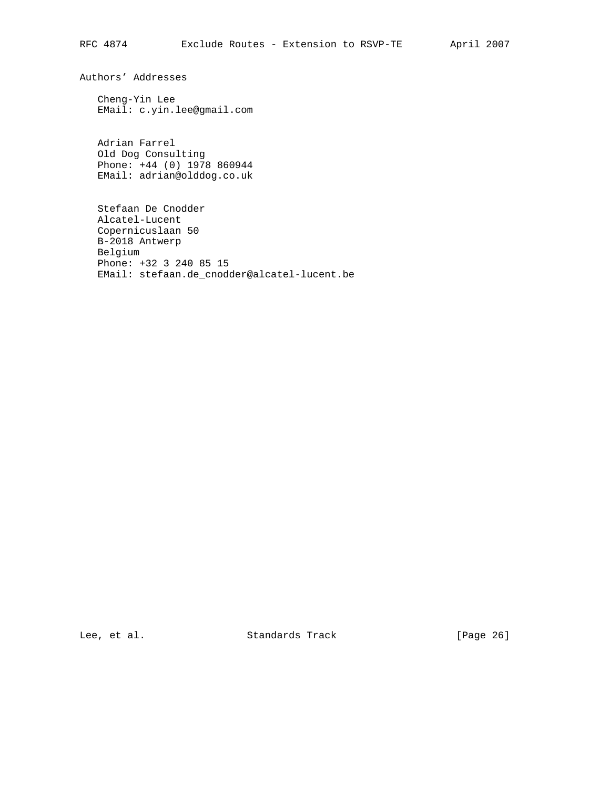Authors' Addresses

 Cheng-Yin Lee EMail: c.yin.lee@gmail.com

 Adrian Farrel Old Dog Consulting Phone: +44 (0) 1978 860944 EMail: adrian@olddog.co.uk

 Stefaan De Cnodder Alcatel-Lucent Copernicuslaan 50 B-2018 Antwerp Belgium Phone: +32 3 240 85 15 EMail: stefaan.de\_cnodder@alcatel-lucent.be

Lee, et al. Standards Track [Page 26]